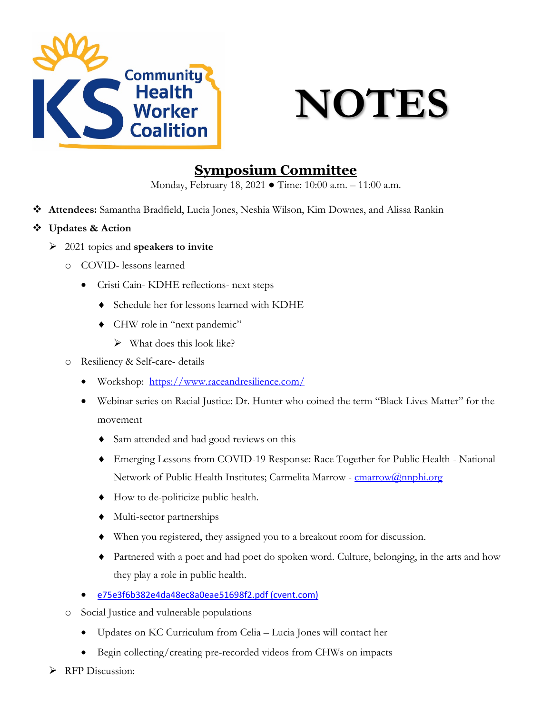



## **Symposium Committee**

Monday, February 18, 2021 ● Time: 10:00 a.m. – 11:00 a.m.

- **Attendees:** Samantha Bradfield, Lucia Jones, Neshia Wilson, Kim Downes, and Alissa Rankin
- **Updates & Action**
	- 2021 topics and **speakers to invite**
		- o COVID- lessons learned
			- Cristi Cain- KDHE reflections- next steps
				- ♦ Schedule her for lessons learned with KDHE
				- ♦ CHW role in "next pandemic"
					- $\triangleright$  What does this look like?
		- o Resiliency & Self-care- details
			- Workshop: <https://www.raceandresilience.com/>
			- Webinar series on Racial Justice: Dr. Hunter who coined the term "Black Lives Matter" for the movement
				- ♦ Sam attended and had good reviews on this
				- ♦ Emerging Lessons from COVID-19 Response: Race Together for Public Health National Network of Public Health Institutes; Carmelita Marrow - [cmarrow@nnphi.org](mailto:cmarrow@nnphi.org)
				- ♦ How to de-politicize public health.
				- ♦ Multi-sector partnerships
				- ♦ When you registered, they assigned you to a breakout room for discussion.
				- ♦ Partnered with a poet and had poet do spoken word. Culture, belonging, in the arts and how they play a role in public health.
			- [e75e3f6b382e4da48ec8a0eae51698f2.pdf \(cvent.com\)](https://custom.cvent.com/3C82DB32F584428DB57EC2B2635A3F7F/files/e75e3f6b382e4da48ec8a0eae51698f2.pdf)
		- o Social Justice and vulnerable populations
			- Updates on KC Curriculum from Celia Lucia Jones will contact her
			- Begin collecting/creating pre-recorded videos from CHWs on impacts
	- **RFP** Discussion: